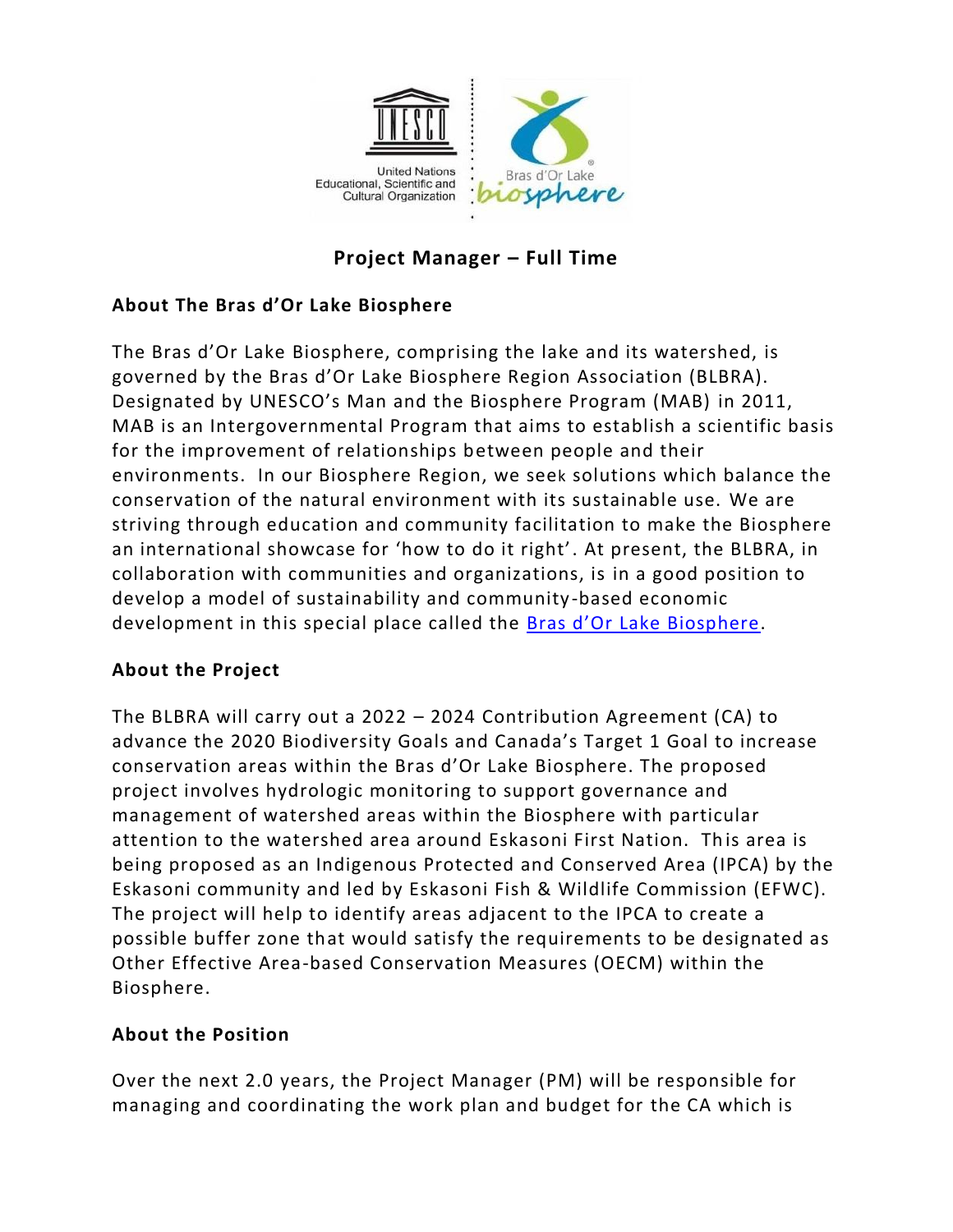

# **Project Manager – Full Time**

## **About The Bras d'Or Lake Biosphere**

The Bras d'Or Lake Biosphere, comprising the lake and its watershed, is governed by the Bras d'Or Lake Biosphere Region Association (BLBRA). Designated by UNESCO's Man and the Biosphere Program (MAB) in 2011, MAB is an Intergovernmental Program that aims to establish a scientific basis for the improvement of relationships between people and their environments. In our Biosphere Region, we seek solutions which balance the conservation of the natural environment with its sustainable use. We are striving through education and community facilitation to make the Biosphere an international showcase for 'how to do it right'. At present, the BLBRA, in collaboration with communities and organizations, is in a good position to develop a model of sustainability and community -based economic development in this special place called the **Bras d'Or Lake Biosphere**.

## **About the Project**

The BLBRA will carry out a 2022 – 2024 Contribution Agreement (CA) to advance the 2020 Biodiversity Goals and Canada's Target 1 Goal to increase conservation areas within the Bras d'Or Lake Biosphere. The proposed project involves hydrologic monitoring to support governance and management of watershed areas within the Biosphere with particular attention to the watershed area around Eskasoni First Nation. This area is being proposed as an Indigenous Protected and Conserved Area (IPCA) by the Eskasoni community and led by Eskasoni Fish & Wildlife Commission (EFWC). The project will help to identify areas adjacent to the IPCA to create a possible buffer zone that would satisfy the requirements to be designated as Other Effective Area-based Conservation Measures (OECM) within the Biosphere.

## **About the Position**

Over the next 2.0 years, the Project Manager (PM) will be responsible for managing and coordinating the work plan and budget for the CA which is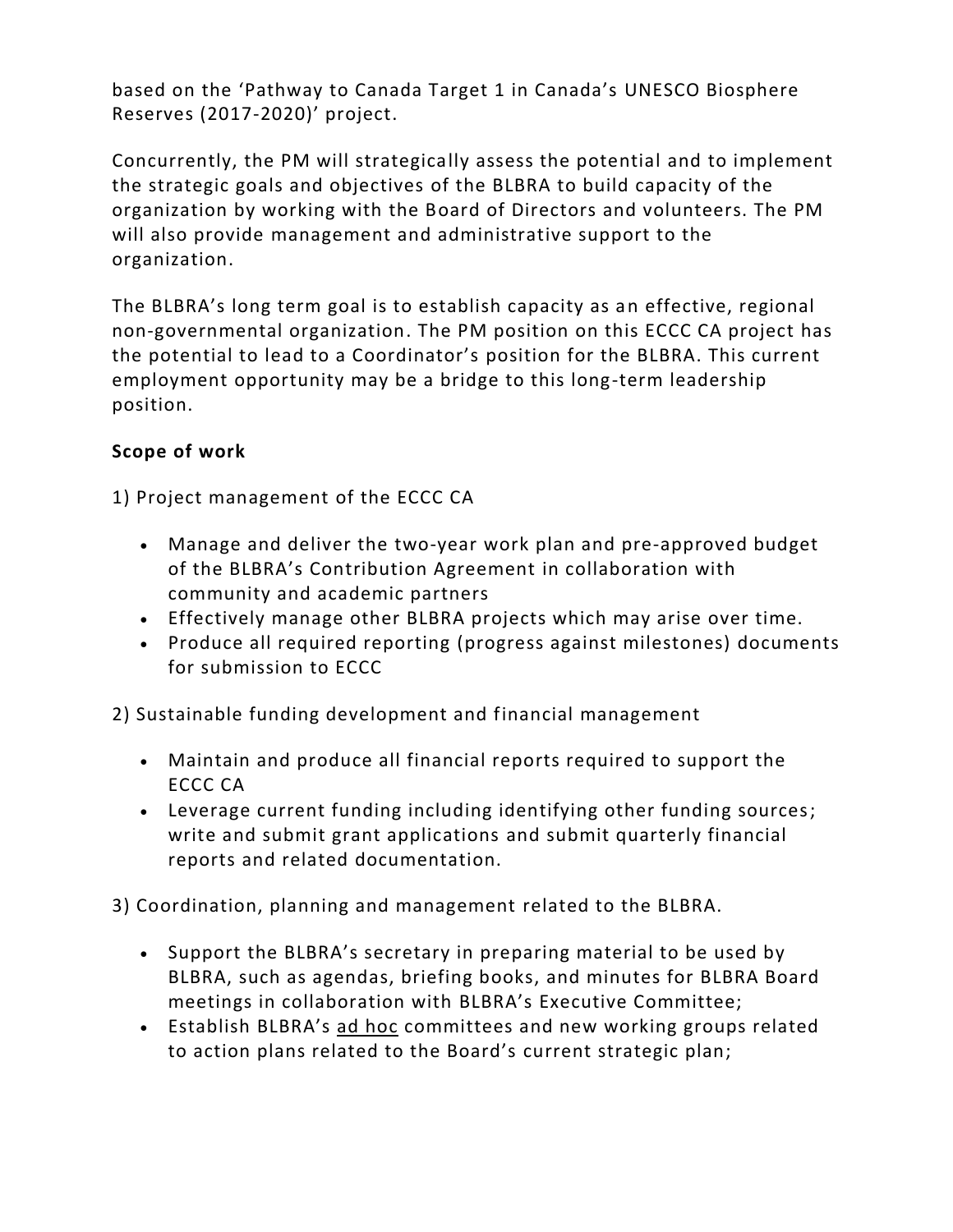based on the 'Pathway to Canada Target 1 in Canada's UNESCO Biosphere Reserves (2017-2020)' project.

Concurrently, the PM will strategically assess the potential and to implement the strategic goals and objectives of the BLBRA to build capacity of the organization by working with the Board of Directors and volunteers. The PM will also provide management and administrative support to the organization.

The BLBRA's long term goal is to establish capacity as an effective, regional non-governmental organization. The PM position on this ECCC CA project has the potential to lead to a Coordinator's position for the BLBRA. This current employment opportunity may be a bridge to this long-term leadership position.

## **Scope of work**

1) Project management of the ECCC CA

- Manage and deliver the two-year work plan and pre-approved budget of the BLBRA's Contribution Agreement in collaboration with community and academic partners
- Effectively manage other BLBRA projects which may arise over time.
- Produce all required reporting (progress against milestones) documents for submission to ECCC

2) Sustainable funding development and financial management

- Maintain and produce all financial reports required to support the ECCC CA
- Leverage current funding including identifying other funding sources; write and submit grant applications and submit quarterly financial reports and related documentation.

3) Coordination, planning and management related to the BLBRA.

- Support the BLBRA's secretary in preparing material to be used by BLBRA, such as agendas, briefing books, and minutes for BLBRA Board meetings in collaboration with BLBRA's Executive Committee;
- Establish BLBRA's ad hoc committees and new working groups related to action plans related to the Board's current strategic plan;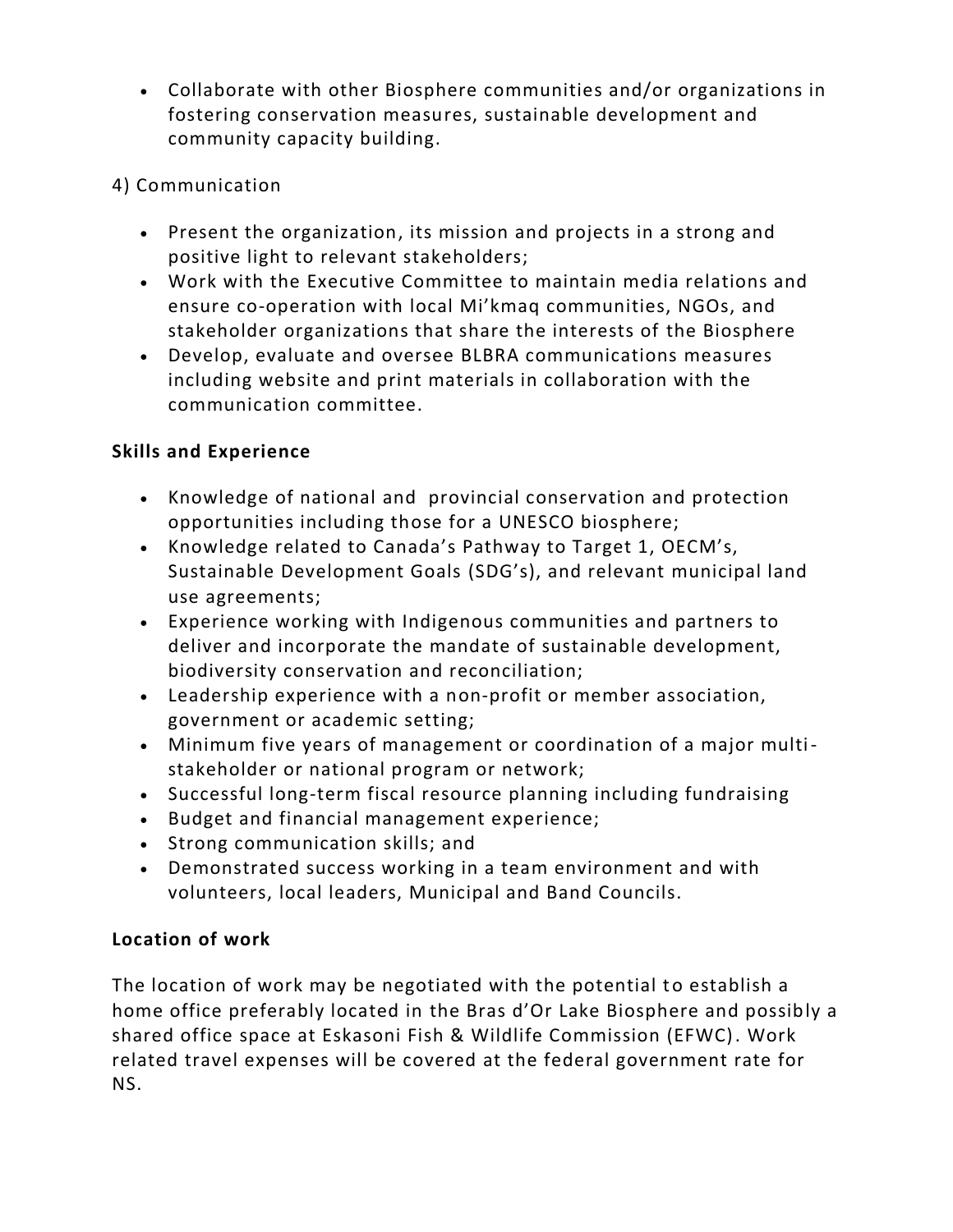- Collaborate with other Biosphere communities and/or organizations in fostering conservation measures, sustainable development and community capacity building.
- 4) Communication
	- Present the organization, its mission and projects in a strong and positive light to relevant stakeholders;
	- Work with the Executive Committee to maintain media relations and ensure co-operation with local Mi'kmaq communities, NGOs, and stakeholder organizations that share the interests of the Biosphere
	- Develop, evaluate and oversee BLBRA communications measures including website and print materials in collaboration with the communication committee.

## **Skills and Experience**

- Knowledge of national and provincial conservation and protection opportunities including those for a UNESCO biosphere;
- Knowledge related to Canada's Pathway to Target 1, OECM's, Sustainable Development Goals (SDG's), and relevant municipal land use agreements;
- Experience working with Indigenous communities and partners to deliver and incorporate the mandate of sustainable development, biodiversity conservation and reconciliation;
- Leadership experience with a non-profit or member association, government or academic setting;
- Minimum five years of management or coordination of a major multistakeholder or national program or network;
- Successful long-term fiscal resource planning including fundraising
- Budget and financial management experience;
- Strong communication skills; and
- Demonstrated success working in a team environment and with volunteers, local leaders, Municipal and Band Councils.

## **Location of work**

The location of work may be negotiated with the potential to establish a home office preferably located in the Bras d'Or Lake Biosphere and possibly a shared office space at Eskasoni Fish & Wildlife Commission (EFWC). Work related travel expenses will be covered at the federal government rate for NS.